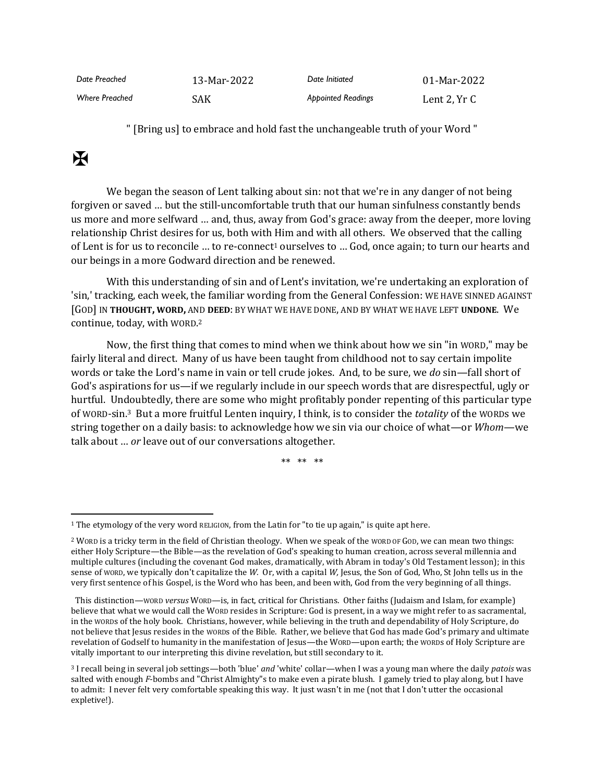| Date Preached         | 13-Mar-2022 | Date Initiated            | 01-Mar-2022  |
|-----------------------|-------------|---------------------------|--------------|
| <b>Where Preached</b> | SAK         | <b>Appointed Readings</b> | Lent 2, Yr C |

" [Bring us] to embrace and hold fast the unchangeable truth of your Word "

## $\mathbf F$

We began the season of Lent talking about sin: not that we're in any danger of not being forgiven or saved … but the still-uncomfortable truth that our human sinfulness constantly bends us more and more selfward … and, thus, away from God's grace: away from the deeper, more loving relationship Christ desires for us, both with Him and with all others. We observed that the calling of Lent is for us to reconcile ... to re-connect<sup>1</sup> ourselves to ... God, once again; to turn our hearts and our beings in a more Godward direction and be renewed.

With this understanding of sin and of Lent's invitation, we're undertaking an exploration of 'sin,' tracking, each week, the familiar wording from the General Confession: WE HAVE SINNED AGAINST [GOD] IN **THOUGHT, WORD,** AND **DEED**: BY WHAT WE HAVE DONE, AND BY WHAT WE HAVE LEFT **UNDONE**. We continue, today, with WORD. 2

Now, the first thing that comes to mind when we think about how we sin "in WORD," may be fairly literal and direct. Many of us have been taught from childhood not to say certain impolite words or take the Lord's name in vain or tell crude jokes. And, to be sure, we *do* sin—fall short of God's aspirations for us—if we regularly include in our speech words that are disrespectful, ugly or hurtful. Undoubtedly, there are some who might profitably ponder repenting of this particular type of WORD-sin.3 But a more fruitful Lenten inquiry, I think, is to consider the *totality* of the WORDs we string together on a daily basis: to acknowledge how we sin via our choice of what—or *Whom*—we talk about … *or* leave out of our conversations altogether.

\*\* \*\* \*\*

<sup>1</sup> The etymology of the very word RELIGION, from the Latin for "to tie up again," is quite apt here.

<sup>2</sup> WORD is a tricky term in the field of Christian theology. When we speak of the WORD OF GOD, we can mean two things: either Holy Scripture—the Bible—as the revelation of God's speaking to human creation, across several millennia and multiple cultures (including the covenant God makes, dramatically, with Abram in today's Old Testament lesson); in this sense of WORD, we typically don't capitalize the *W.* Or, with a capital *W,* Jesus, the Son of God, Who, St John tells us in the very first sentence of his Gospel, is the Word who has been, and been with, God from the very beginning of all things.

This distinction—WORD *versus* WORD—is, in fact, critical for Christians. Other faiths (Judaism and Islam, for example) believe that what we would call the WORD resides in Scripture: God is present, in a way we might refer to as sacramental, in the WORDs of the holy book. Christians, however, while believing in the truth and dependability of Holy Scripture, do not believe that Jesus resides in the WORDs of the Bible. Rather, we believe that God has made God's primary and ultimate revelation of Godself to humanity in the manifestation of Jesus—the WORD—upon earth; the WORDs of Holy Scripture are vitally important to our interpreting this divine revelation, but still secondary to it.

<sup>3</sup> I recall being in several job settings—both 'blue' *and* 'white' collar—when I was a young man where the daily *patois* was salted with enough *F*-bombs and "Christ Almighty"s to make even a pirate blush. I gamely tried to play along, but I have to admit: I never felt very comfortable speaking this way. It just wasn't in me (not that I don't utter the occasional expletive!).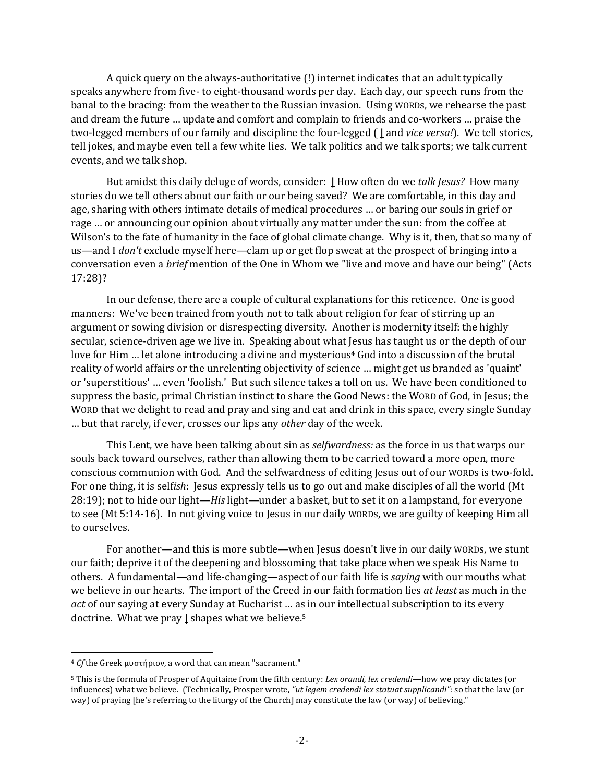A quick query on the always-authoritative (!) internet indicates that an adult typically speaks anywhere from five- to eight-thousand words per day. Each day, our speech runs from the banal to the bracing: from the weather to the Russian invasion. Using WORDs, we rehearse the past and dream the future … update and comfort and complain to friends and co-workers … praise the two-legged members of our family and discipline the four-legged ( **|** and *vice versa!*). We tell stories, tell jokes, and maybe even tell a few white lies. We talk politics and we talk sports; we talk current events, and we talk shop.

But amidst this daily deluge of words, consider: **|** How often do we *talk Jesus?* How many stories do we tell others about our faith or our being saved? We are comfortable, in this day and age, sharing with others intimate details of medical procedures … or baring our souls in grief or rage … or announcing our opinion about virtually any matter under the sun: from the coffee at Wilson's to the fate of humanity in the face of global climate change. Why is it, then, that so many of us—and I *don't* exclude myself here—clam up or get flop sweat at the prospect of bringing into a conversation even a *brief* mention of the One in Whom we "live and move and have our being" (Acts 17:28)?

In our defense, there are a couple of cultural explanations for this reticence. One is good manners: We've been trained from youth not to talk about religion for fear of stirring up an argument or sowing division or disrespecting diversity. Another is modernity itself: the highly secular, science-driven age we live in. Speaking about what Jesus has taught us or the depth of our love for Him ... let alone introducing a divine and mysterious<sup>4</sup> God into a discussion of the brutal reality of world affairs or the unrelenting objectivity of science … might get us branded as 'quaint' or 'superstitious' … even 'foolish.' But such silence takes a toll on us. We have been conditioned to suppress the basic, primal Christian instinct to share the Good News: the WORD of God, in Jesus; the WORD that we delight to read and pray and sing and eat and drink in this space, every single Sunday … but that rarely, if ever, crosses our lips any *other* day of the week.

This Lent, we have been talking about sin as *selfwardness:* as the force in us that warps our souls back toward ourselves, rather than allowing them to be carried toward a more open, more conscious communion with God. And the selfwardness of editing Jesus out of our WORDs is two-fold. For one thing, it is self*ish*: Jesus expressly tells us to go out and make disciples of all the world (Mt 28:19); not to hide our light—*His* light—under a basket, but to set it on a lampstand, for everyone to see (Mt 5:14-16). In not giving voice to Jesus in our daily WORDs, we are guilty of keeping Him all to ourselves.

For another—and this is more subtle—when Jesus doesn't live in our daily WORDs, we stunt our faith; deprive it of the deepening and blossoming that take place when we speak His Name to others. A fundamental—and life-changing—aspect of our faith life is *saying* with our mouths what we believe in our hearts. The import of the Creed in our faith formation lies *at least* as much in the *act* of our saying at every Sunday at Eucharist … as in our intellectual subscription to its every doctrine. What we pray **|** shapes what we believe. 5

<sup>4</sup> *Cf* the Greek μυστήριον, a word that can mean "sacrament."

<sup>5</sup> This is the formula of Prosper of Aquitaine from the fifth century: *Lex orandi, lex credendi*—how we pray dictates (or influences) what we believe. (Technically, Prosper wrote, *"ut legem credendi lex statuat supplicandi":* so that the law (or way) of praying [he's referring to the liturgy of the Church] may constitute the law (or way) of believing."